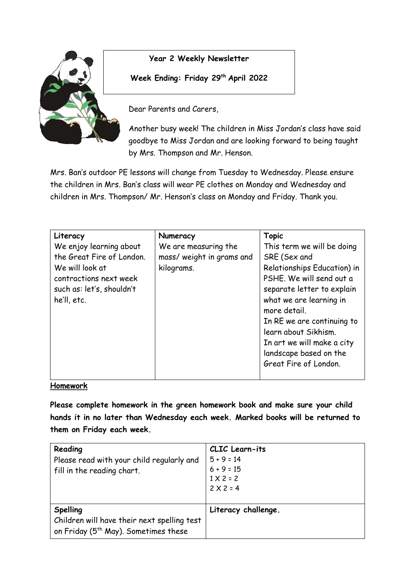

#### **Year 2 Weekly Newsletter**

**Week Ending: Friday 29 th April 2022**

Dear Parents and Carers,

Another busy week! The children in Miss Jordan's class have said goodbye to Miss Jordan and are looking forward to being taught by Mrs. Thompson and Mr. Henson.

Mrs. Ban's outdoor PE lessons will change from Tuesday to Wednesday. Please ensure the children in Mrs. Ban's class will wear PE clothes on Monday and Wednesday and children in Mrs. Thompson/ Mr. Henson's class on Monday and Friday. Thank you.

| Literacy                  | Numeracy                  | <b>Topic</b>                |
|---------------------------|---------------------------|-----------------------------|
| We enjoy learning about   | We are measuring the      | This term we will be doing  |
| the Great Fire of London. | mass/ weight in grams and | SRE (Sex and                |
| We will look at           | kilograms.                | Relationships Education) in |
| contractions next week    |                           | PSHE. We will send out a    |
| such as: let's, shouldn't |                           | separate letter to explain  |
| he'll, etc.               |                           | what we are learning in     |
|                           |                           | more detail.                |
|                           |                           | In RE we are continuing to  |
|                           |                           | learn about Sikhism.        |
|                           |                           | In art we will make a city  |
|                           |                           | landscape based on the      |
|                           |                           | Great Fire of London.       |
|                           |                           |                             |

#### **Homework**

**Please complete homework in the green homework book and make sure your child hands it in no later than Wednesday each week. Marked books will be returned to them on Friday each week.** 

| Reading<br>Please read with your child regularly and<br>fill in the reading chart.                          | CLIC Learn-its<br>$5 + 9 = 14$<br>$6 + 9 = 15$<br>$1 \times 2 = 2$<br>$2 \times 2 = 4$ |
|-------------------------------------------------------------------------------------------------------------|----------------------------------------------------------------------------------------|
| Spelling<br>Children will have their next spelling test<br>on Friday (5 <sup>th</sup> May). Sometimes these | Literacy challenge.                                                                    |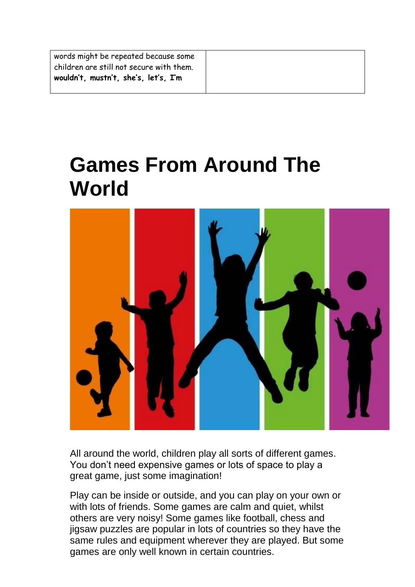| words might be repeated because some<br>children are still not secure with them. |
|----------------------------------------------------------------------------------|
| wouldn't, mustn't, she's, let's, I'm                                             |

# **Games From Around The World**



All around the world, children play all sorts of different games. You don't need expensive games or lots of space to play a great game, just some imagination!

Play can be inside or outside, and you can play on your own or with lots of friends. Some games are calm and quiet, whilst others are very noisy! Some games like football, chess and jigsaw puzzles are popular in lots of countries so they have the same rules and equipment wherever they are played. But some games are only well known in certain countries.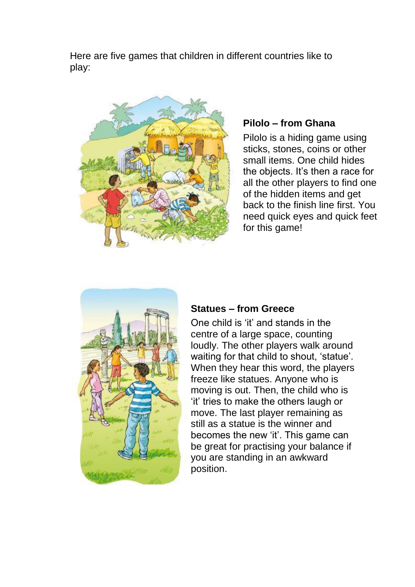Here are five games that children in different countries like to play:



# **Pilolo – from Ghana**

Pilolo is a hiding game using sticks, stones, coins or other small items. One child hides the objects. It's then a race for all the other players to find one of the hidden items and get back to the finish line first. You need quick eyes and quick feet for this game!



#### **Statues – from Greece**

One child is 'it' and stands in the centre of a large space, counting loudly. The other players walk around waiting for that child to shout, 'statue'. When they hear this word, the players freeze like statues. Anyone who is moving is out. Then, the child who is 'it' tries to make the others laugh or move. The last player remaining as still as a statue is the winner and becomes the new 'it'. This game can be great for practising your balance if you are standing in an awkward position.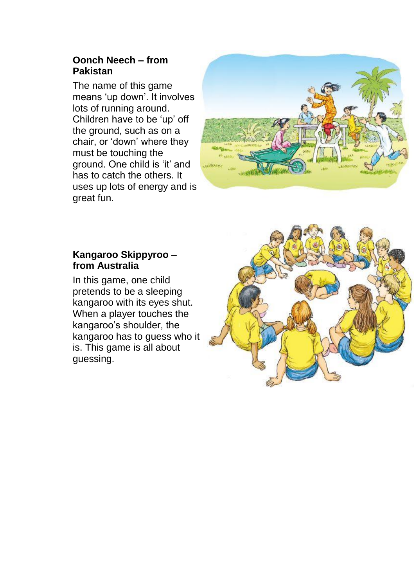### **Oonch Neech – from Pakistan**

The name of this game means 'up down'. It involves lots of running around. Children have to be 'up' off the ground, such as on a chair, or 'down' where they must be touching the ground. One child is 'it' and has to catch the others. It uses up lots of energy and is great fun.



#### **Kangaroo Skippyroo – from Australia**

In this game, one child pretends to be a sleeping kangaroo with its eyes shut. When a player touches the kangaroo's shoulder, the kangaroo has to guess who it is. This game is all about guessing.

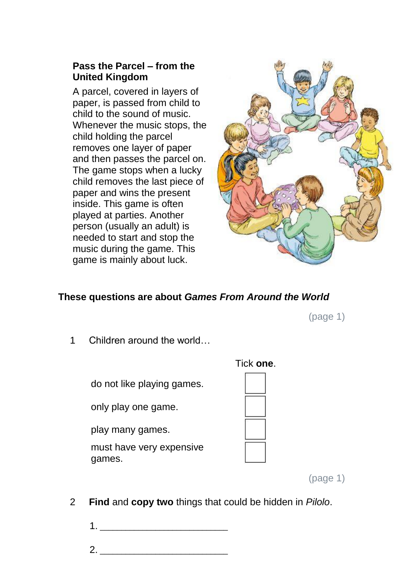## **Pass the Parcel – from the United Kingdom**

A parcel, covered in layers of paper, is passed from child to child to the sound of music. Whenever the music stops, the child holding the parcel removes one layer of paper and then passes the parcel on. The game stops when a lucky child removes the last piece of paper and wins the present inside. This game is often played at parties. Another person (usually an adult) is needed to start and stop the music during the game. This game is mainly about luck.



## **These questions are about** *Games From Around the World*

(page 1)

1 Children around the world…

do not like playing games.

only play one game.

play many games.

must have very expensive games.

Tick **one**.



2 **Find** and **copy two** things that could be hidden in *Pilolo*.

1. \_\_\_\_\_\_\_\_\_\_\_\_\_\_\_\_\_\_\_\_\_\_\_\_\_\_\_\_\_\_

 $2.$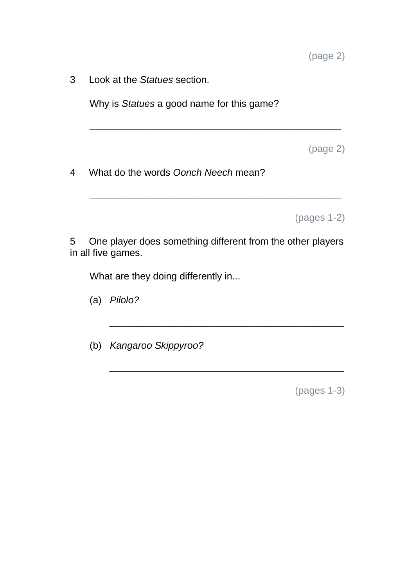3 Look at the *Statues* section.

Why is *Statues* a good name for this game?

(page 2)

4 What do the words *Oonch Neech* mean?

(pages 1-2)

5 One player does something different from the other players in all five games.

\_\_\_\_\_\_\_\_\_\_\_\_\_\_\_\_\_\_\_\_\_\_\_\_\_\_\_\_\_\_\_\_\_\_\_\_\_\_\_\_\_\_\_\_\_\_\_\_\_\_\_\_\_\_\_

\_\_\_\_\_\_\_\_\_\_\_\_\_\_\_\_\_\_\_\_\_\_\_\_\_\_\_\_\_\_\_\_\_\_\_\_\_\_\_\_\_\_\_\_\_\_\_\_\_\_\_\_\_\_\_

\_\_\_\_\_\_\_\_\_\_\_\_\_\_\_\_\_\_\_\_\_\_\_\_\_\_\_\_\_\_\_\_\_\_\_\_\_\_\_\_\_\_\_\_\_\_\_\_\_\_\_\_\_\_\_\_\_\_\_

\_\_\_\_\_\_\_\_\_\_\_\_\_\_\_\_\_\_\_\_\_\_\_\_\_\_\_\_\_\_\_\_\_\_\_\_\_\_\_\_\_\_\_\_\_\_\_\_\_\_\_\_\_\_\_\_\_\_\_

What are they doing differently in...

(a) *Pilolo?*

(b) *Kangaroo Skippyroo?*

(pages 1-3)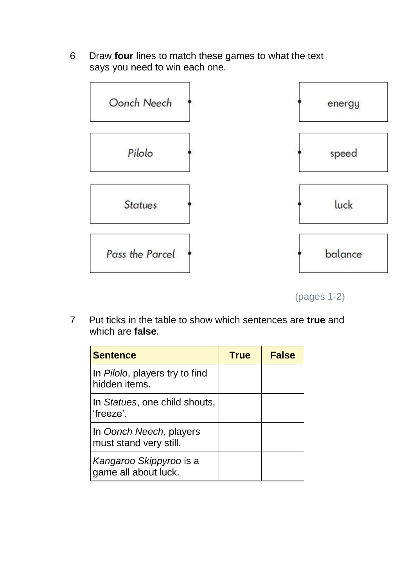6 Draw **four** lines to match these games to what the text says you need to win each one.



(pages 1-2)

7 Put ticks in the table to show which sentences are **true** and which are **false**.

| <b>Sentence</b>                                                 | <b>True</b> | <b>False</b> |
|-----------------------------------------------------------------|-------------|--------------|
| In <i>Pilolo</i> , players try to find<br>hidden <i>items</i> . |             |              |
| In Statues, one child shouts,<br>'freeze'.                      |             |              |
| In Oonch Neech, players<br>must stand very still.               |             |              |
| Kangaroo Skippyroo is a<br>game all about luck.                 |             |              |